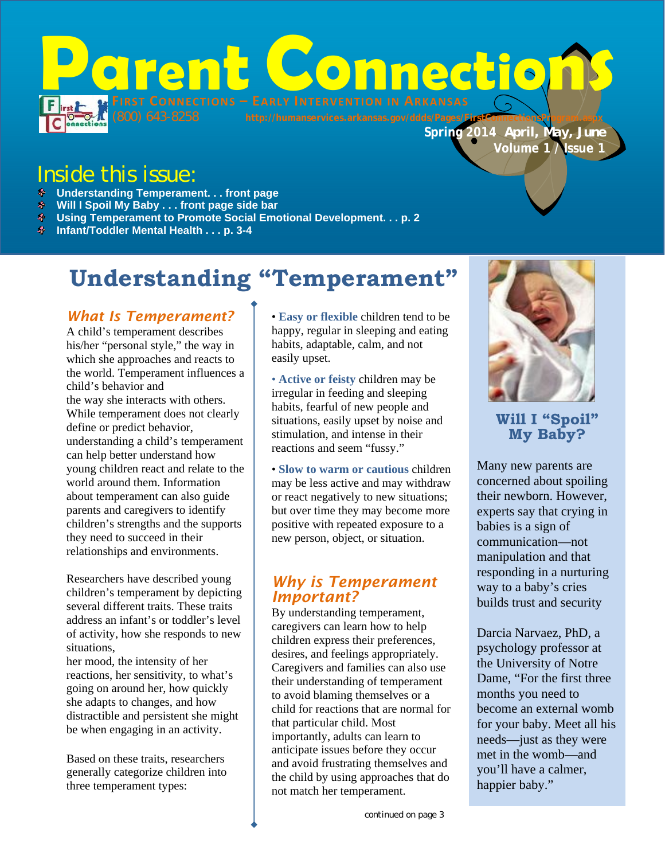

# Inside this issue:

- **Understanding Temperament. . . front page**
- **Will I Spoil My Baby . . . front page side bar**
- **Using Temperament to Promote Social Emotional Development. . . p. 2**
- **Infant/Toddler Mental Health . . . p. 3-4**

# **Understanding "Temperament"**

#### *What Is Temperament?*

A child's temperament describes his/her "personal style," the way in which she approaches and reacts to the world. Temperament influences a child's behavior and the way she interacts with others. While temperament does not clearly define or predict behavior, understanding a child's temperament can help better understand how young children react and relate to the world around them. Information about temperament can also guide parents and caregivers to identify children's strengths and the supports they need to succeed in their relationships and environments.

Researchers have described young children's temperament by depicting several different traits. These traits address an infant's or toddler's level of activity, how she responds to new situations,

her mood, the intensity of her reactions, her sensitivity, to what's going on around her, how quickly she adapts to changes, and how distractible and persistent she might be when engaging in an activity.

Based on these traits, researchers generally categorize children into three temperament types:

• **Easy or flexible** children tend to be happy, regular in sleeping and eating habits, adaptable, calm, and not easily upset.

• **Active or feisty** children may be irregular in feeding and sleeping habits, fearful of new people and situations, easily upset by noise and stimulation, and intense in their reactions and seem "fussy."

• **Slow to warm or cautious** children may be less active and may withdraw or react negatively to new situations; but over time they may become more positive with repeated exposure to a new person, object, or situation.

### *Why is Temperament Important?*

By understanding temperament, caregivers can learn how to help children express their preferences, desires, and feelings appropriately. Caregivers and families can also use their understanding of temperament to avoid blaming themselves or a child for reactions that are normal for that particular child. Most importantly, adults can learn to anticipate issues before they occur and avoid frustrating themselves and the child by using approaches that do not match her temperament.



**Will I "Spoil" My Baby?** 

Many new parents are concerned about spoiling their newborn. However, experts say that crying in babies is a sign of communication—not manipulation and that responding in a nurturing way to a baby's cries builds trust and security

Darcia Narvaez, PhD, a psychology professor at the University of Notre Dame, "For the first three months you need to become an external womb for your baby. Meet all his needs—just as they were met in the womb—and you'll have a calmer, happier baby."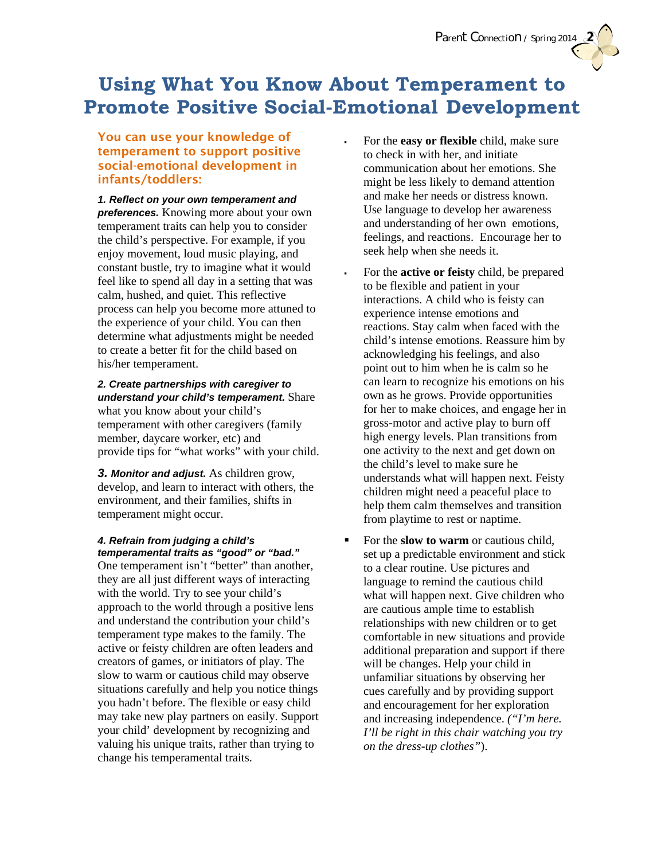# **Using What You Know About Temperament to Promote Positive Social-Emotional Development**

#### You can use your knowledge of temperament to support positive social-emotional development in infants/toddlers:

*1. Reflect on your own temperament and preferences.* Knowing more about your own temperament traits can help you to consider the child's perspective. For example, if you enjoy movement, loud music playing, and constant bustle, try to imagine what it would feel like to spend all day in a setting that was calm, hushed, and quiet. This reflective process can help you become more attuned to the experience of your child. You can then determine what adjustments might be needed to create a better fit for the child based on his/her temperament.

#### *2. Create partnerships with caregiver to understand your child's temperament.* Share what you know about your child's temperament with other caregivers (family member, daycare worker, etc) and

provide tips for "what works" with your child.

*3. Monitor and adjust.* As children grow, develop, and learn to interact with others, the environment, and their families, shifts in temperament might occur.

#### *4. Refrain from judging a child's temperamental traits as "good" or "bad."*

One temperament isn't "better" than another, they are all just different ways of interacting with the world. Try to see your child's approach to the world through a positive lens and understand the contribution your child's temperament type makes to the family. The active or feisty children are often leaders and creators of games, or initiators of play. The slow to warm or cautious child may observe situations carefully and help you notice things you hadn't before. The flexible or easy child may take new play partners on easily. Support your child' development by recognizing and valuing his unique traits, rather than trying to change his temperamental traits.

 For the **easy or flexible** child, make sure to check in with her, and initiate communication about her emotions. She might be less likely to demand attention and make her needs or distress known. Use language to develop her awareness and understanding of her own emotions, feelings, and reactions. Encourage her to seek help when she needs it.

*Parent Connection / Spring 2014* **2**

- For the **active or feisty** child, be prepared to be flexible and patient in your interactions. A child who is feisty can experience intense emotions and reactions. Stay calm when faced with the child's intense emotions. Reassure him by acknowledging his feelings, and also point out to him when he is calm so he can learn to recognize his emotions on his own as he grows. Provide opportunities for her to make choices, and engage her in gross-motor and active play to burn off high energy levels. Plan transitions from one activity to the next and get down on the child's level to make sure he understands what will happen next. Feisty children might need a peaceful place to help them calm themselves and transition from playtime to rest or naptime.
- For the **slow to warm** or cautious child, set up a predictable environment and stick to a clear routine. Use pictures and language to remind the cautious child what will happen next. Give children who are cautious ample time to establish relationships with new children or to get comfortable in new situations and provide additional preparation and support if there will be changes. Help your child in unfamiliar situations by observing her cues carefully and by providing support and encouragement for her exploration and increasing independence. *("I'm here. I'll be right in this chair watching you try on the dress-up clothes"*).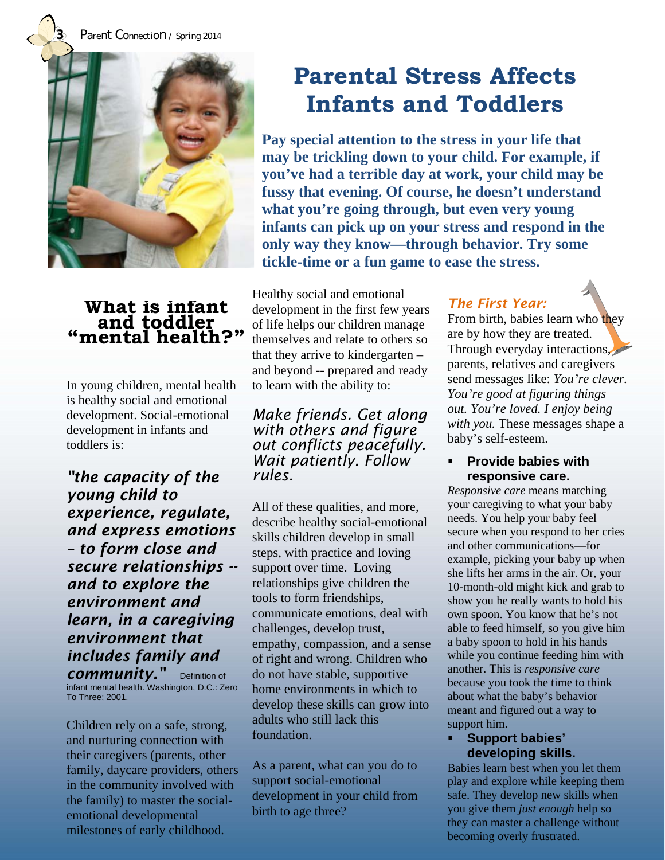**3** *Parent Connection / Spring 2014* 



### **What is infant and toddler "mental health?"**

In young children, mental health is healthy social and emotional development. Social-emotional development in infants and toddlers is:

*"the capacity of the young child to experience, regulate, and express emotions – to form close and secure relationships - and to explore the environment and learn, in a caregiving environment that includes family and community.* Definition of

infant mental health. Washington, D.C.: Zero To Three; 2001.

Children rely on a safe, strong, and nurturing connection with their caregivers (parents, other family, daycare providers, others in the community involved with the family) to master the socialemotional developmental milestones of early childhood.

# **Parental Stress Affects Infants and Toddlers**

**Pay special attention to the stress in your life that may be trickling down to your child. For example, if you've had a terrible day at work, your child may be fussy that evening. Of course, he doesn't understand what you're going through, but even very young infants can pick up on your stress and respond in the only way they know—through behavior. Try some tickle-time or a fun game to ease the stress.** 

Healthy social and emotional development in the first few years of life helps our children manage themselves and relate to others so that they arrive to kindergarten – and beyond -- prepared and ready to learn with the ability to:

*Make friends. Get along with others and figure out conflicts peacefully. Wait patiently. Follow rules.* 

All of these qualities, and more, describe healthy social-emotional skills children develop in small steps, with practice and loving support over time. Loving relationships give children the tools to form friendships, communicate emotions, deal with challenges, develop trust, empathy, compassion, and a sense of right and wrong. Children who do not have stable, supportive home environments in which to develop these skills can grow into adults who still lack this foundation.

As a parent, what can you do to support social-emotional development in your child from birth to age three?

## *The First Year:*

From birth, babies learn who they are by how they are treated. Through everyday interactions, parents, relatives and caregivers send messages like: *You're clever. You're good at figuring things out. You're loved. I enjoy being with you.* These messages shape a baby's self-esteem.

#### **Provide babies with responsive care.**

*Responsive care* means matching your caregiving to what your baby needs. You help your baby feel secure when you respond to her cries and other communications—for example, picking your baby up when she lifts her arms in the air. Or, your 10-month-old might kick and grab to show you he really wants to hold his own spoon. You know that he's not able to feed himself, so you give him a baby spoon to hold in his hands while you continue feeding him with another. This is *responsive care*  because you took the time to think about what the baby's behavior meant and figured out a way to support him.

#### **Support babies' developing skills.**

Babies learn best when you let them play and explore while keeping them safe. They develop new skills when you give them *just enough* help so they can master a challenge without becoming overly frustrated.